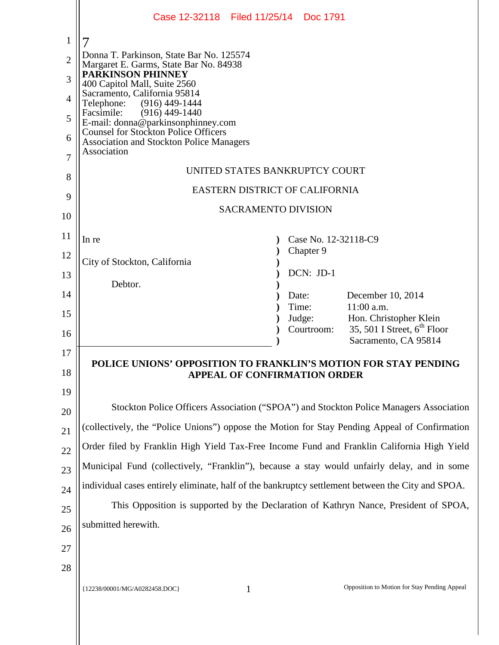|                | Case 12-32118 Filed 11/25/14 Doc 1791                                                              |  |
|----------------|----------------------------------------------------------------------------------------------------|--|
| $\mathbf{1}$   |                                                                                                    |  |
| $\overline{2}$ | Donna T. Parkinson, State Bar No. 125574                                                           |  |
| 3              | Margaret E. Garms, State Bar No. 84938<br><b>PARKINSON PHINNEY</b><br>400 Capitol Mall, Suite 2560 |  |
| $\overline{4}$ | Sacramento, California 95814<br>Telephone: (916) 449-1444                                          |  |
| 5              | $(916)$ 449-1440<br>Facsimile:<br>E-mail: donna@parkinsonphinney.com                               |  |
| 6              | <b>Counsel for Stockton Police Officers</b><br><b>Association and Stockton Police Managers</b>     |  |
| 7              | Association                                                                                        |  |
| 8              | UNITED STATES BANKRUPTCY COURT                                                                     |  |
| 9              | EASTERN DISTRICT OF CALIFORNIA                                                                     |  |
| 10             | <b>SACRAMENTO DIVISION</b>                                                                         |  |
| 11             |                                                                                                    |  |
| 12             | Case No. 12-32118-C9<br>In re<br>Chapter 9                                                         |  |
|                | City of Stockton, California<br>DCN: JD-1                                                          |  |
| 13             | Debtor.                                                                                            |  |
| 14             | December 10, 2014<br>Date:<br>11:00 a.m.<br>Time:                                                  |  |
| 15             | Hon. Christopher Klein<br>Judge:<br>35, 501 I Street, $6^{\text{th}}$ Floor<br>Courtroom:          |  |
| 16             | Sacramento, CA 95814                                                                               |  |
| 17             | POLICE UNIONS' OPPOSITION TO FRANKLIN'S MOTION FOR STAY PENDING                                    |  |
| 18             | <b>APPEAL OF CONFIRMATION ORDER</b>                                                                |  |
| 19             |                                                                                                    |  |
| 20             | Stockton Police Officers Association ("SPOA") and Stockton Police Managers Association             |  |
| 21             | (collectively, the "Police Unions") oppose the Motion for Stay Pending Appeal of Confirmation      |  |
| 22             | Order filed by Franklin High Yield Tax-Free Income Fund and Franklin California High Yield         |  |
| 23             | Municipal Fund (collectively, "Franklin"), because a stay would unfairly delay, and in some        |  |
| 24             | individual cases entirely eliminate, half of the bankruptcy settlement between the City and SPOA.  |  |
| 25             | This Opposition is supported by the Declaration of Kathryn Nance, President of SPOA,               |  |
| 26             | submitted herewith.                                                                                |  |
| 27             |                                                                                                    |  |
| 28             |                                                                                                    |  |
|                | Opposition to Motion for Stay Pending Appeal<br>$\mathbf{1}$<br>{12238/00001/MG/A0282458.DOC}      |  |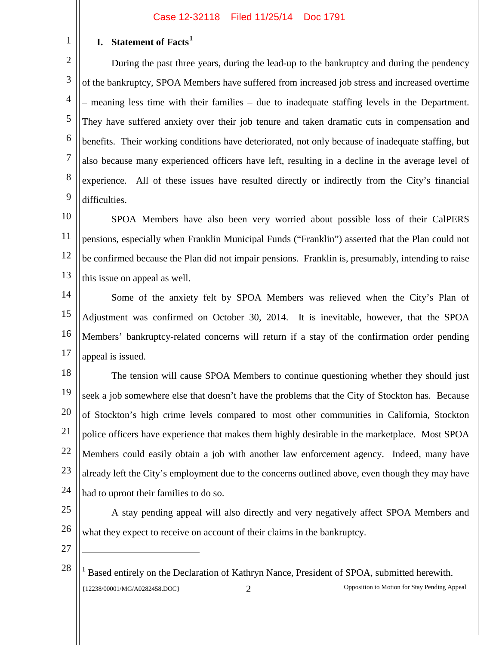# **I. Statement of Facts<sup>1</sup>**

2 3 4 5 6 7 8 9 During the past three years, during the lead-up to the bankruptcy and during the pendency of the bankruptcy, SPOA Members have suffered from increased job stress and increased overtime – meaning less time with their families – due to inadequate staffing levels in the Department. They have suffered anxiety over their job tenure and taken dramatic cuts in compensation and benefits. Their working conditions have deteriorated, not only because of inadequate staffing, but also because many experienced officers have left, resulting in a decline in the average level of experience. All of these issues have resulted directly or indirectly from the City's financial difficulties.

10 11 12 13 SPOA Members have also been very worried about possible loss of their CalPERS pensions, especially when Franklin Municipal Funds ("Franklin") asserted that the Plan could not be confirmed because the Plan did not impair pensions. Franklin is, presumably, intending to raise this issue on appeal as well.

14 15 16 17 Some of the anxiety felt by SPOA Members was relieved when the City's Plan of Adjustment was confirmed on October 30, 2014. It is inevitable, however, that the SPOA Members' bankruptcy-related concerns will return if a stay of the confirmation order pending appeal is issued.

18 19 20 21 22 23 24 The tension will cause SPOA Members to continue questioning whether they should just seek a job somewhere else that doesn't have the problems that the City of Stockton has. Because of Stockton's high crime levels compared to most other communities in California, Stockton police officers have experience that makes them highly desirable in the marketplace. Most SPOA Members could easily obtain a job with another law enforcement agency. Indeed, many have already left the City's employment due to the concerns outlined above, even though they may have had to uproot their families to do so.

- A stay pending appeal will also directly and very negatively affect SPOA Members and what they expect to receive on account of their claims in the bankruptcy.
- 27

Ξ

25

26

1

<sup>28</sup>  $<sup>1</sup>$  Based entirely on the Declaration of Kathryn Nance, President of SPOA, submitted herewith.</sup> {12238/00001/MG/A0282458.DOC} 2 Opposition to Motion for Stay Pending Appeal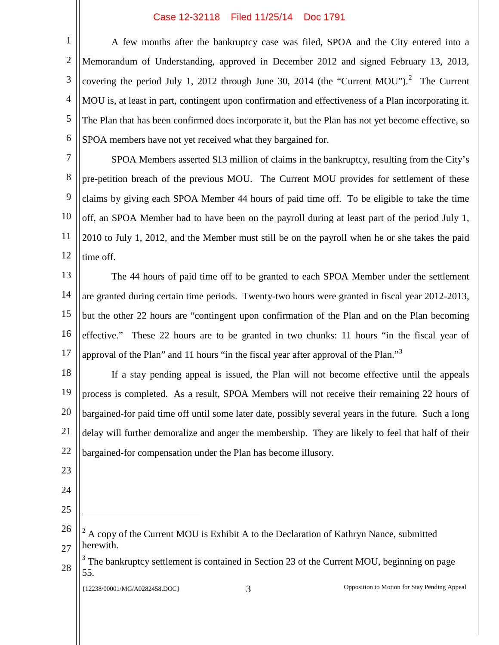2 3 4 5 6 A few months after the bankruptcy case was filed, SPOA and the City entered into a Memorandum of Understanding, approved in December 2012 and signed February 13, 2013, covering the period July 1, 2012 through June 30, 2014 (the "Current MOU").<sup>2</sup> The Current MOU is, at least in part, contingent upon confirmation and effectiveness of a Plan incorporating it. The Plan that has been confirmed does incorporate it, but the Plan has not yet become effective, so SPOA members have not yet received what they bargained for.

7 8 9 10 11 12 SPOA Members asserted \$13 million of claims in the bankruptcy, resulting from the City's pre-petition breach of the previous MOU. The Current MOU provides for settlement of these claims by giving each SPOA Member 44 hours of paid time off. To be eligible to take the time off, an SPOA Member had to have been on the payroll during at least part of the period July 1, 2010 to July 1, 2012, and the Member must still be on the payroll when he or she takes the paid time off.

13 14 15 16 17 The 44 hours of paid time off to be granted to each SPOA Member under the settlement are granted during certain time periods. Twenty-two hours were granted in fiscal year 2012-2013, but the other 22 hours are "contingent upon confirmation of the Plan and on the Plan becoming effective." These 22 hours are to be granted in two chunks: 11 hours "in the fiscal year of approval of the Plan" and 11 hours "in the fiscal year after approval of the Plan."<sup>3</sup>

18 19 20 21 22 If a stay pending appeal is issued, the Plan will not become effective until the appeals process is completed. As a result, SPOA Members will not receive their remaining 22 hours of bargained-for paid time off until some later date, possibly several years in the future. Such a long delay will further demoralize and anger the membership. They are likely to feel that half of their bargained-for compensation under the Plan has become illusory.

- 23
- 24
- 25

Ξ

26 27  $2^2$  A copy of the Current MOU is Exhibit A to the Declaration of Kathryn Nance, submitted herewith.

28 The bankruptcy settlement is contained in Section 23 of the Current MOU, beginning on page 55.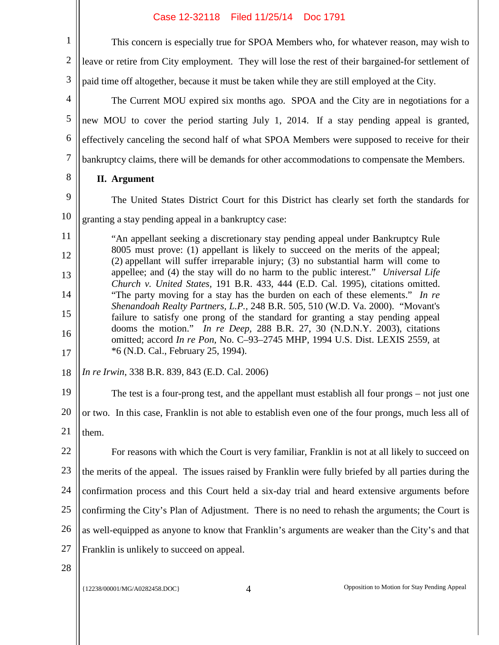8

2 3 This concern is especially true for SPOA Members who, for whatever reason, may wish to leave or retire from City employment. They will lose the rest of their bargained-for settlement of paid time off altogether, because it must be taken while they are still employed at the City.

4 5 6 7 The Current MOU expired six months ago. SPOA and the City are in negotiations for a new MOU to cover the period starting July 1, 2014. If a stay pending appeal is granted, effectively canceling the second half of what SPOA Members were supposed to receive for their bankruptcy claims, there will be demands for other accommodations to compensate the Members.

**II. Argument**

9 10 The United States District Court for this District has clearly set forth the standards for granting a stay pending appeal in a bankruptcy case:

11 12 13 14 15 16 17 "An appellant seeking a discretionary stay pending appeal under Bankruptcy Rule 8005 must prove: (1) appellant is likely to succeed on the merits of the appeal; (2) appellant will suffer irreparable injury; (3) no substantial harm will come to appellee; and (4) the stay will do no harm to the public interest." *Universal Life Church v. United States,* 191 B.R. 433, 444 (E.D. Cal. 1995), citations omitted. "The party moving for a stay has the burden on each of these elements." *In re Shenandoah Realty Partners, L.P.,* 248 B.R. 505, 510 (W.D. Va. 2000). "Movant's failure to satisfy one prong of the standard for granting a stay pending appeal dooms the motion." *In re Deep,* 288 B.R. 27, 30 (N.D.N.Y. 2003), citations omitted; accord *In re Pon,* No. C–93–2745 MHP, 1994 U.S. Dist. LEXIS 2559, at \*6 (N.D. Cal., February 25, 1994).

18 *In re Irwin*, 338 B.R. 839, 843 (E.D. Cal. 2006)

19 20 21 The test is a four-prong test, and the appellant must establish all four prongs – not just one or two. In this case, Franklin is not able to establish even one of the four prongs, much less all of them.

22 23 24 25 26 27 For reasons with which the Court is very familiar, Franklin is not at all likely to succeed on the merits of the appeal. The issues raised by Franklin were fully briefed by all parties during the confirmation process and this Court held a six-day trial and heard extensive arguments before confirming the City's Plan of Adjustment. There is no need to rehash the arguments; the Court is as well-equipped as anyone to know that Franklin's arguments are weaker than the City's and that Franklin is unlikely to succeed on appeal.

28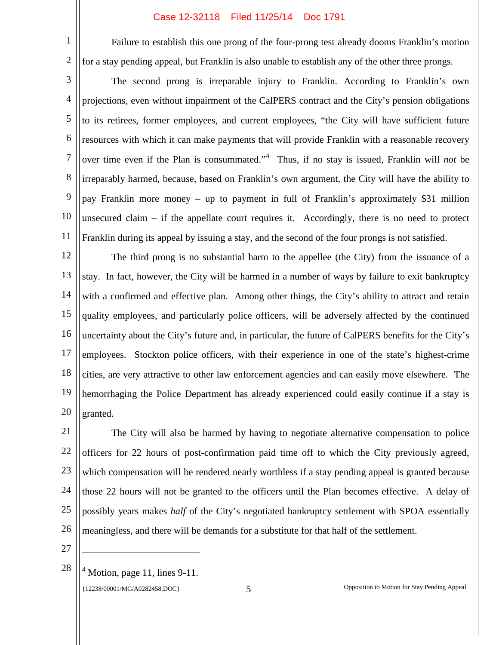Failure to establish this one prong of the four-prong test already dooms Franklin's motion for a stay pending appeal, but Franklin is also unable to establish any of the other three prongs.

3 4 5 6 7 8 9 10 11 The second prong is irreparable injury to Franklin. According to Franklin's own projections, even without impairment of the CalPERS contract and the City's pension obligations to its retirees, former employees, and current employees, "the City will have sufficient future resources with which it can make payments that will provide Franklin with a reasonable recovery over time even if the Plan is consummated."<sup>4</sup> Thus, if no stay is issued, Franklin will *not* be irreparably harmed, because, based on Franklin's own argument, the City will have the ability to pay Franklin more money – up to payment in full of Franklin's approximately \$31 million unsecured claim – if the appellate court requires it. Accordingly, there is no need to protect Franklin during its appeal by issuing a stay, and the second of the four prongs is not satisfied.

12 13 14 15 16 17 18 19 20 The third prong is no substantial harm to the appellee (the City) from the issuance of a stay. In fact, however, the City will be harmed in a number of ways by failure to exit bankruptcy with a confirmed and effective plan. Among other things, the City's ability to attract and retain quality employees, and particularly police officers, will be adversely affected by the continued uncertainty about the City's future and, in particular, the future of CalPERS benefits for the City's employees. Stockton police officers, with their experience in one of the state's highest-crime cities, are very attractive to other law enforcement agencies and can easily move elsewhere. The hemorrhaging the Police Department has already experienced could easily continue if a stay is granted.

21 22 23 24 25 26 The City will also be harmed by having to negotiate alternative compensation to police officers for 22 hours of post-confirmation paid time off to which the City previously agreed, which compensation will be rendered nearly worthless if a stay pending appeal is granted because those 22 hours will not be granted to the officers until the Plan becomes effective. A delay of possibly years makes *half* of the City's negotiated bankruptcy settlement with SPOA essentially meaningless, and there will be demands for a substitute for that half of the settlement.

27

Ξ

1

2

28  $4$  Motion, page 11, lines 9-11.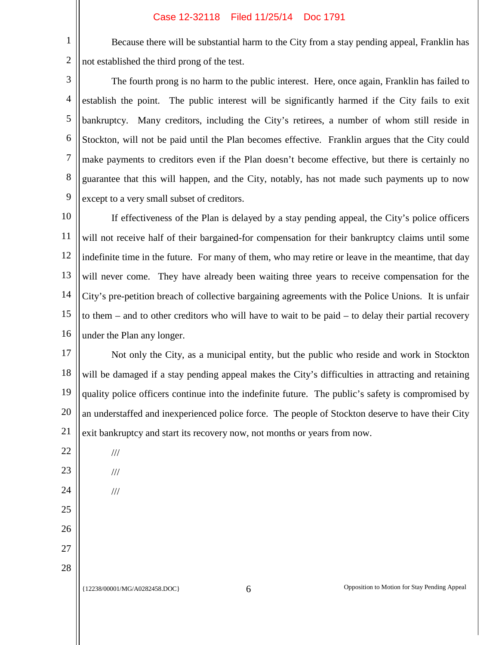Because there will be substantial harm to the City from a stay pending appeal, Franklin has not established the third prong of the test.

3 4 5 6 7 8 9 The fourth prong is no harm to the public interest. Here, once again, Franklin has failed to establish the point. The public interest will be significantly harmed if the City fails to exit bankruptcy. Many creditors, including the City's retirees, a number of whom still reside in Stockton, will not be paid until the Plan becomes effective. Franklin argues that the City could make payments to creditors even if the Plan doesn't become effective, but there is certainly no guarantee that this will happen, and the City, notably, has not made such payments up to now except to a very small subset of creditors.

10 11 12 13 14 15 16 If effectiveness of the Plan is delayed by a stay pending appeal, the City's police officers will not receive half of their bargained-for compensation for their bankruptcy claims until some indefinite time in the future. For many of them, who may retire or leave in the meantime, that day will never come. They have already been waiting three years to receive compensation for the City's pre-petition breach of collective bargaining agreements with the Police Unions. It is unfair to them – and to other creditors who will have to wait to be paid – to delay their partial recovery under the Plan any longer.

17 18 19 20 21 Not only the City, as a municipal entity, but the public who reside and work in Stockton will be damaged if a stay pending appeal makes the City's difficulties in attracting and retaining quality police officers continue into the indefinite future. The public's safety is compromised by an understaffed and inexperienced police force. The people of Stockton deserve to have their City exit bankruptcy and start its recovery now, not months or years from now.

1

2